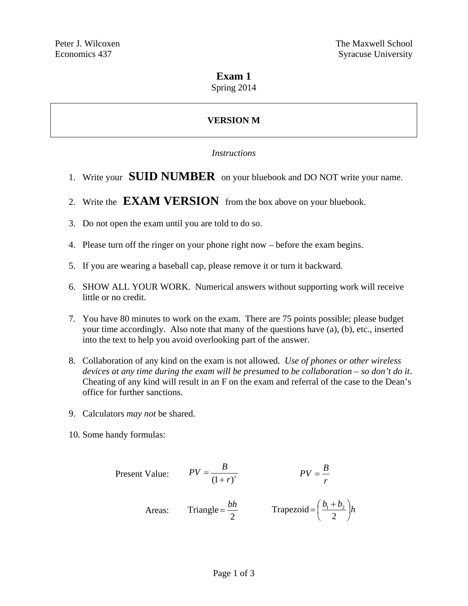## **Exam 1**

Spring 2014

# **VERSION M**

#### *Instructions*

- 1. Write your **SUID NUMBER** on your bluebook and DO NOT write your name.
- 2. Write the **EXAM VERSION** from the box above on your bluebook.
- 3. Do not open the exam until you are told to do so.
- 4. Please turn off the ringer on your phone right now before the exam begins.
- 5. If you are wearing a baseball cap, please remove it or turn it backward.
- 6. SHOW ALL YOUR WORK. Numerical answers without supporting work will receive little or no credit.
- 7. You have 80 minutes to work on the exam. There are 75 points possible; please budget your time accordingly. Also note that many of the questions have (a), (b), etc., inserted into the text to help you avoid overlooking part of the answer.
- 8. Collaboration of any kind on the exam is not allowed. *Use of phones or other wireless devices at any time during the exam will be presumed to be collaboration – so don't do it*. Cheating of any kind will result in an F on the exam and referral of the case to the Dean's office for further sanctions.
- 9. Calculators *may not* be shared.
- 10. Some handy formulas:

Present Value: 
$$
PV = \frac{B}{(1+r)^t}
$$
  $PV = \frac{B}{r}$   
Areas: Triangle =  $\frac{bh}{2}$  Trapezoid =  $(\frac{b_1 + b_2}{2})h$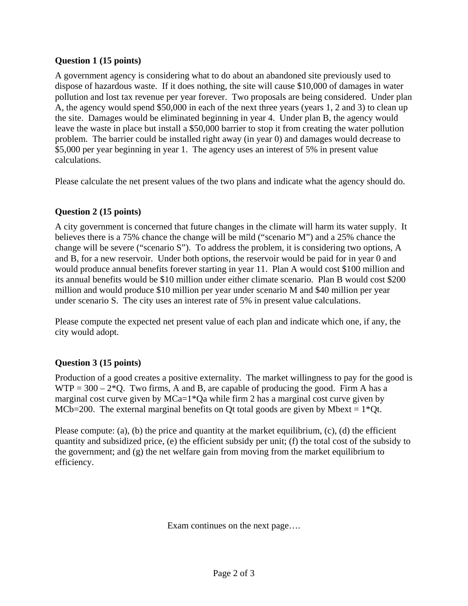### **Question 1 (15 points)**

A government agency is considering what to do about an abandoned site previously used to dispose of hazardous waste. If it does nothing, the site will cause \$10,000 of damages in water pollution and lost tax revenue per year forever. Two proposals are being considered. Under plan A, the agency would spend \$50,000 in each of the next three years (years 1, 2 and 3) to clean up the site. Damages would be eliminated beginning in year 4. Under plan B, the agency would leave the waste in place but install a \$50,000 barrier to stop it from creating the water pollution problem. The barrier could be installed right away (in year 0) and damages would decrease to \$5,000 per year beginning in year 1. The agency uses an interest of 5% in present value calculations.

Please calculate the net present values of the two plans and indicate what the agency should do.

## **Question 2 (15 points)**

A city government is concerned that future changes in the climate will harm its water supply. It believes there is a 75% chance the change will be mild ("scenario M") and a 25% chance the change will be severe ("scenario S"). To address the problem, it is considering two options, A and B, for a new reservoir. Under both options, the reservoir would be paid for in year 0 and would produce annual benefits forever starting in year 11. Plan A would cost \$100 million and its annual benefits would be \$10 million under either climate scenario. Plan B would cost \$200 million and would produce \$10 million per year under scenario M and \$40 million per year under scenario S. The city uses an interest rate of 5% in present value calculations.

Please compute the expected net present value of each plan and indicate which one, if any, the city would adopt.

#### **Question 3 (15 points)**

Production of a good creates a positive externality. The market willingness to pay for the good is  $WTP = 300 - 2*Q$ . Two firms, A and B, are capable of producing the good. Firm A has a marginal cost curve given by MCa=1\*Qa while firm 2 has a marginal cost curve given by MCb=200. The external marginal benefits on Qt total goods are given by Mbext =  $1*$ Qt.

Please compute: (a), (b) the price and quantity at the market equilibrium, (c), (d) the efficient quantity and subsidized price, (e) the efficient subsidy per unit; (f) the total cost of the subsidy to the government; and (g) the net welfare gain from moving from the market equilibrium to efficiency.

Exam continues on the next page….